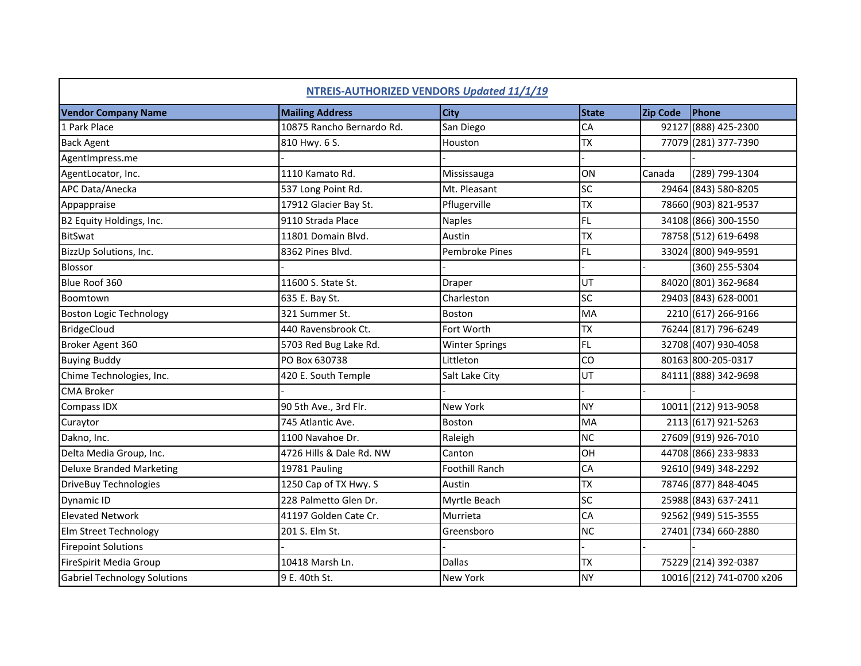| NTREIS-AUTHORIZED VENDORS Updated 11/1/19 |                           |                       |              |          |                           |
|-------------------------------------------|---------------------------|-----------------------|--------------|----------|---------------------------|
| <b>Vendor Company Name</b>                | <b>Mailing Address</b>    | <b>City</b>           | <b>State</b> | Zip Code | Phone                     |
| 1 Park Place                              | 10875 Rancho Bernardo Rd. | San Diego             | CA           |          | 92127 (888) 425-2300      |
| <b>Back Agent</b>                         | 810 Hwy. 6 S.             | Houston               | <b>TX</b>    |          | 77079 (281) 377-7390      |
| AgentImpress.me                           |                           |                       |              |          |                           |
| AgentLocator, Inc.                        | 1110 Kamato Rd.           | Mississauga           | ON           | Canada   | (289) 799-1304            |
| APC Data/Anecka                           | 537 Long Point Rd.        | Mt. Pleasant          | <b>SC</b>    |          | 29464 (843) 580-8205      |
| Appappraise                               | 17912 Glacier Bay St.     | Pflugerville          | <b>TX</b>    |          | 78660 (903) 821-9537      |
| B2 Equity Holdings, Inc.                  | 9110 Strada Place         | <b>Naples</b>         | <b>FL</b>    |          | 34108 (866) 300-1550      |
| <b>BitSwat</b>                            | 11801 Domain Blvd.        | Austin                | <b>TX</b>    |          | 78758 (512) 619-6498      |
| BizzUp Solutions, Inc.                    | 8362 Pines Blvd.          | Pembroke Pines        | FL           |          | 33024 (800) 949-9591      |
| <b>Blossor</b>                            |                           |                       |              |          | (360) 255-5304            |
| Blue Roof 360                             | 11600 S. State St.        | Draper                | UT           |          | 84020 (801) 362-9684      |
| Boomtown                                  | 635 E. Bay St.            | Charleston            | <b>SC</b>    |          | 29403 (843) 628-0001      |
| <b>Boston Logic Technology</b>            | 321 Summer St.            | Boston                | <b>MA</b>    |          | 2210 (617) 266-9166       |
| <b>BridgeCloud</b>                        | 440 Ravensbrook Ct.       | Fort Worth            | <b>TX</b>    |          | 76244 (817) 796-6249      |
| Broker Agent 360                          | 5703 Red Bug Lake Rd.     | <b>Winter Springs</b> | FL           |          | 32708 (407) 930-4058      |
| <b>Buying Buddy</b>                       | PO Box 630738             | Littleton             | CO           |          | 80163 800-205-0317        |
| Chime Technologies, Inc.                  | 420 E. South Temple       | Salt Lake City        | UT           |          | 84111 (888) 342-9698      |
| <b>CMA Broker</b>                         |                           |                       |              |          |                           |
| Compass IDX                               | 90 5th Ave., 3rd Flr.     | New York              | <b>NY</b>    |          | 10011 (212) 913-9058      |
| Curaytor                                  | 745 Atlantic Ave.         | Boston                | <b>MA</b>    |          | 2113 (617) 921-5263       |
| Dakno, Inc.                               | 1100 Navahoe Dr.          | Raleigh               | <b>NC</b>    |          | 27609 (919) 926-7010      |
| Delta Media Group, Inc.                   | 4726 Hills & Dale Rd. NW  | Canton                | OH           |          | 44708 (866) 233-9833      |
| <b>Deluxe Branded Marketing</b>           | 19781 Pauling             | <b>Foothill Ranch</b> | CA           |          | 92610 (949) 348-2292      |
| DriveBuy Technologies                     | 1250 Cap of TX Hwy. S     | Austin                | <b>TX</b>    |          | 78746 (877) 848-4045      |
| Dynamic ID                                | 228 Palmetto Glen Dr.     | Myrtle Beach          | SC           |          | 25988 (843) 637-2411      |
| <b>Elevated Network</b>                   | 41197 Golden Cate Cr.     | Murrieta              | CA           |          | 92562 (949) 515-3555      |
| Elm Street Technology                     | 201 S. Elm St.            | Greensboro            | <b>NC</b>    |          | 27401 (734) 660-2880      |
| <b>Firepoint Solutions</b>                |                           |                       |              |          |                           |
| FireSpirit Media Group                    | 10418 Marsh Ln.           | <b>Dallas</b>         | <b>TX</b>    |          | 75229 (214) 392-0387      |
| <b>Gabriel Technology Solutions</b>       | 9 E. 40th St.             | <b>New York</b>       | <b>NY</b>    |          | 10016 (212) 741-0700 x206 |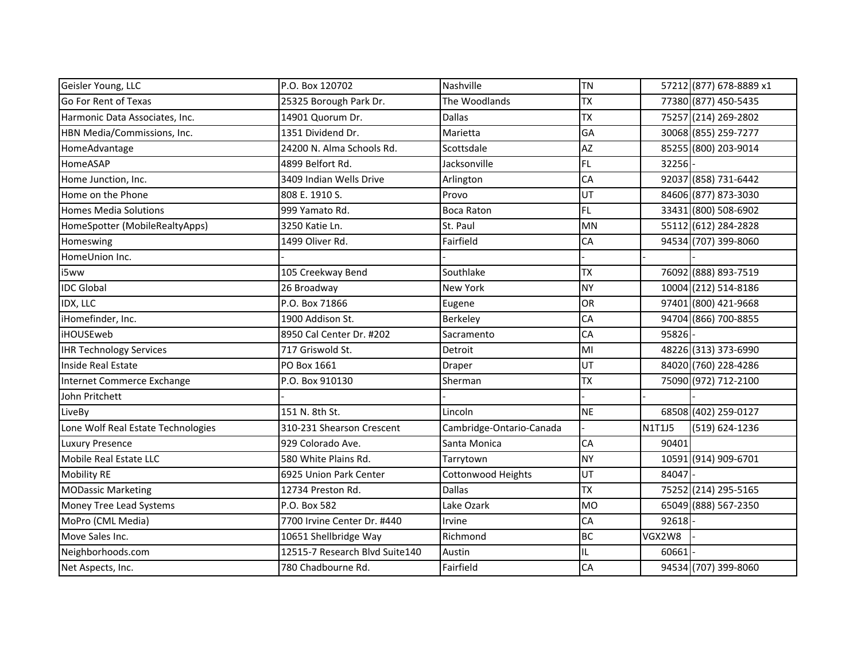| Geisler Young, LLC                 | P.O. Box 120702                | Nashville                | <b>TN</b> |        | 57212 (877) 678-8889 x1 |
|------------------------------------|--------------------------------|--------------------------|-----------|--------|-------------------------|
| Go For Rent of Texas               | 25325 Borough Park Dr.         | The Woodlands            | <b>TX</b> |        | 77380 (877) 450-5435    |
| Harmonic Data Associates, Inc.     | 14901 Quorum Dr.               | <b>Dallas</b>            | <b>TX</b> |        | 75257 (214) 269-2802    |
| HBN Media/Commissions, Inc.        | 1351 Dividend Dr.              | Marietta                 | GA        |        | 30068 (855) 259-7277    |
| HomeAdvantage                      | 24200 N. Alma Schools Rd.      | Scottsdale               | AZ        |        | 85255 (800) 203-9014    |
| HomeASAP                           | 4899 Belfort Rd.               | Jacksonville             | <b>FL</b> | 32256  |                         |
| Home Junction, Inc.                | 3409 Indian Wells Drive        | Arlington                | CA        |        | 92037 (858) 731-6442    |
| Home on the Phone                  | 808 E. 1910 S.                 | Provo                    | UT        |        | 84606 (877) 873-3030    |
| <b>Homes Media Solutions</b>       | 999 Yamato Rd.                 | <b>Boca Raton</b>        | <b>FL</b> |        | 33431 (800) 508-6902    |
| HomeSpotter (MobileRealtyApps)     | 3250 Katie Ln.                 | St. Paul                 | <b>MN</b> |        | 55112 (612) 284-2828    |
| Homeswing                          | 1499 Oliver Rd.                | Fairfield                | CA        |        | 94534 (707) 399-8060    |
| HomeUnion Inc.                     |                                |                          |           |        |                         |
| i5ww                               | 105 Creekway Bend              | Southlake                | <b>TX</b> |        | 76092 (888) 893-7519    |
| <b>IDC Global</b>                  | 26 Broadway                    | <b>New York</b>          | <b>NY</b> |        | 10004 (212) 514-8186    |
| IDX, LLC                           | P.O. Box 71866                 | Eugene                   | <b>OR</b> |        | 97401 (800) 421-9668    |
| iHomefinder, Inc.                  | 1900 Addison St.               | Berkeley                 | CA        |        | 94704 (866) 700-8855    |
| iHOUSEweb                          | 8950 Cal Center Dr. #202       | Sacramento               | CA        | 95826  |                         |
| <b>IHR Technology Services</b>     | 717 Griswold St.               | Detroit                  | MI        |        | 48226 (313) 373-6990    |
| Inside Real Estate                 | PO Box 1661                    | Draper                   | UT        |        | 84020 (760) 228-4286    |
| Internet Commerce Exchange         | P.O. Box 910130                | Sherman                  | <b>TX</b> |        | 75090 (972) 712-2100    |
| John Pritchett                     |                                |                          |           |        |                         |
| LiveBy                             | 151 N. 8th St.                 | Lincoln                  | <b>NE</b> |        | 68508 (402) 259-0127    |
| Lone Wolf Real Estate Technologies | 310-231 Shearson Crescent      | Cambridge-Ontario-Canada |           | N1T1J5 | (519) 624-1236          |
| <b>Luxury Presence</b>             | 929 Colorado Ave.              | Santa Monica             | CA        | 90401  |                         |
| Mobile Real Estate LLC             | 580 White Plains Rd.           | Tarrytown                | <b>NY</b> |        | 10591 (914) 909-6701    |
| <b>Mobility RE</b>                 | 6925 Union Park Center         | Cottonwood Heights       | UT        | 84047  |                         |
| <b>MODassic Marketing</b>          | 12734 Preston Rd.              | <b>Dallas</b>            | <b>TX</b> |        | 75252 (214) 295-5165    |
| Money Tree Lead Systems            | P.O. Box 582                   | Lake Ozark               | <b>MO</b> |        | 65049 (888) 567-2350    |
| MoPro (CML Media)                  | 7700 Irvine Center Dr. #440    | Irvine                   | CA        | 92618  |                         |
| Move Sales Inc.                    | 10651 Shellbridge Way          | Richmond                 | <b>BC</b> | VGX2W8 |                         |
| Neighborhoods.com                  | 12515-7 Research Blvd Suite140 | Austin                   | IL        | 60661  |                         |
| Net Aspects, Inc.                  | 780 Chadbourne Rd.             | Fairfield                | CA        |        | 94534 (707) 399-8060    |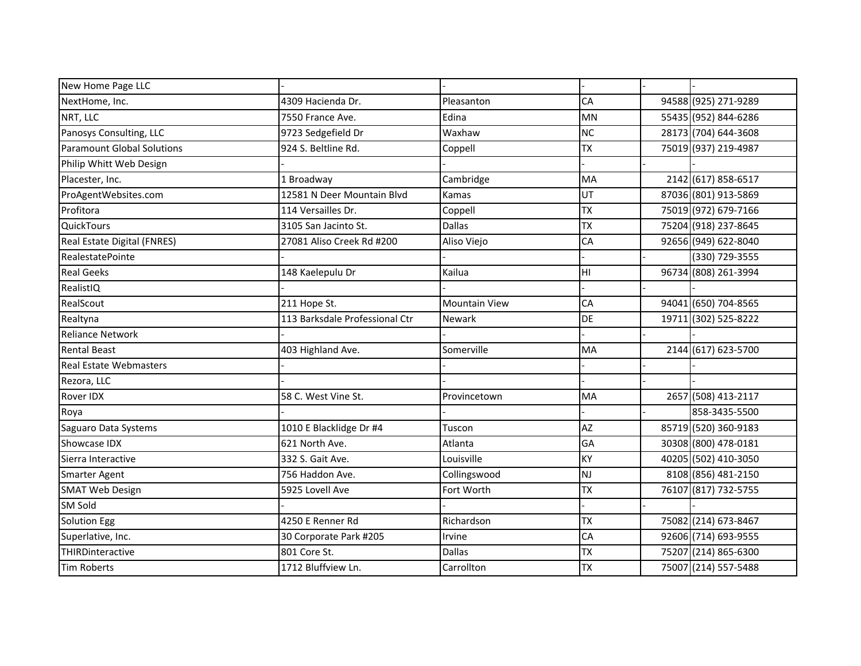| New Home Page LLC             |                                |                      |           |                      |
|-------------------------------|--------------------------------|----------------------|-----------|----------------------|
| NextHome, Inc.                | 4309 Hacienda Dr.              | Pleasanton           | CA        | 94588 (925) 271-9289 |
| NRT, LLC                      | 7550 France Ave.               | Edina                | <b>MN</b> | 55435 (952) 844-6286 |
| Panosys Consulting, LLC       | 9723 Sedgefield Dr             | Waxhaw               | <b>NC</b> | 28173 (704) 644-3608 |
| Paramount Global Solutions    | 924 S. Beltline Rd.            | Coppell              | <b>TX</b> | 75019 (937) 219-4987 |
| Philip Whitt Web Design       |                                |                      |           |                      |
| Placester, Inc.               | 1 Broadway                     | Cambridge            | <b>MA</b> | 2142 (617) 858-6517  |
| ProAgentWebsites.com          | 12581 N Deer Mountain Blvd     | Kamas                | UT        | 87036 (801) 913-5869 |
| Profitora                     | 114 Versailles Dr.             | Coppell              | <b>TX</b> | 75019 (972) 679-7166 |
| <b>QuickTours</b>             | 3105 San Jacinto St.           | <b>Dallas</b>        | <b>TX</b> | 75204 (918) 237-8645 |
| Real Estate Digital (FNRES)   | 27081 Aliso Creek Rd #200      | Aliso Viejo          | CA        | 92656 (949) 622-8040 |
| RealestatePointe              |                                |                      |           | (330) 729-3555       |
| <b>Real Geeks</b>             | 148 Kaelepulu Dr               | Kailua               | HI        | 96734 (808) 261-3994 |
| RealistIQ                     |                                |                      |           |                      |
| RealScout                     | 211 Hope St.                   | <b>Mountain View</b> | CA        | 94041 (650) 704-8565 |
| Realtyna                      | 113 Barksdale Professional Ctr | <b>Newark</b>        | <b>DE</b> | 19711 (302) 525-8222 |
| <b>Reliance Network</b>       |                                |                      |           |                      |
| <b>Rental Beast</b>           | 403 Highland Ave.              | Somerville           | <b>MA</b> | 2144 (617) 623-5700  |
| <b>Real Estate Webmasters</b> |                                |                      |           |                      |
| Rezora, LLC                   |                                |                      |           |                      |
| <b>Rover IDX</b>              | 58 C. West Vine St.            | Provincetown         | <b>MA</b> | 2657 (508) 413-2117  |
| Roya                          |                                |                      |           | 858-3435-5500        |
| Saguaro Data Systems          | 1010 E Blacklidge Dr #4        | Tuscon               | AZ        | 85719 (520) 360-9183 |
| Showcase IDX                  | 621 North Ave.                 | Atlanta              | GA        | 30308 (800) 478-0181 |
| Sierra Interactive            | 332 S. Gait Ave.               | Louisville           | KY        | 40205 (502) 410-3050 |
| Smarter Agent                 | 756 Haddon Ave.                | Collingswood         | <b>NJ</b> | 8108 (856) 481-2150  |
| <b>SMAT Web Design</b>        | 5925 Lovell Ave                | Fort Worth           | <b>TX</b> | 76107 (817) 732-5755 |
| <b>SM Sold</b>                |                                |                      |           |                      |
| <b>Solution Egg</b>           | 4250 E Renner Rd               | Richardson           | <b>TX</b> | 75082 (214) 673-8467 |
| Superlative, Inc.             | 30 Corporate Park #205         | Irvine               | CA        | 92606 (714) 693-9555 |
| THIRDinteractive              | 801 Core St.                   | <b>Dallas</b>        | <b>TX</b> | 75207 (214) 865-6300 |
| <b>Tim Roberts</b>            | 1712 Bluffview Ln.             | Carrollton           | <b>TX</b> | 75007 (214) 557-5488 |